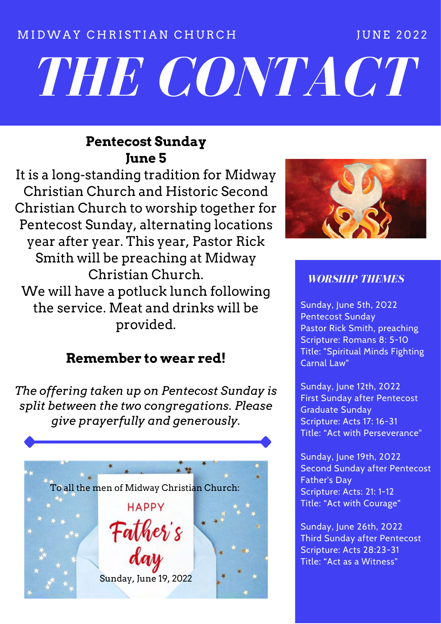## M I D W A Y CHRISTIAN CHURCH THE TUNE 2022

# *THE CONTACT*

# **Pentecost Sunday June 5**

It is a long-standing tradition for Midway Christian Church and Historic Second Christian Church to worship together for Pentecost Sunday, alternating locations year after year. This year, Pastor Rick Smith will be preaching at Midway Christian Church. We will have a potluck lunch following the service. Meat and drinks will be provided.

# **Remember to wear red!**

*The offering taken up on Pentecost Sunday is split between the two congregations. Please give prayerfully and generously.*





## *WORSHIP THEMES*

Sunday, June 5th, 2022 Pentecost Sunday Pastor Rick Smith, preaching Scripture: Romans 8: 5-10 Title: "Spiritual Minds Fighting Carnal Law"

Sunday, June 12th, 2022 First Sunday after Pentecost Graduate Sunday Scripture: Acts 17: 16-31 Title: "Act with Perseverance"

Sunday, June 19th, 2022 Second Sunday after Pentecost Father's Day Scripture: Acts: 21: 1-12 Title: "Act with Courage"

Sunday, June 26th, 2022 Third Sunday after Pentecost Scripture: Acts 28:23-31 Title: "Act as a Witness"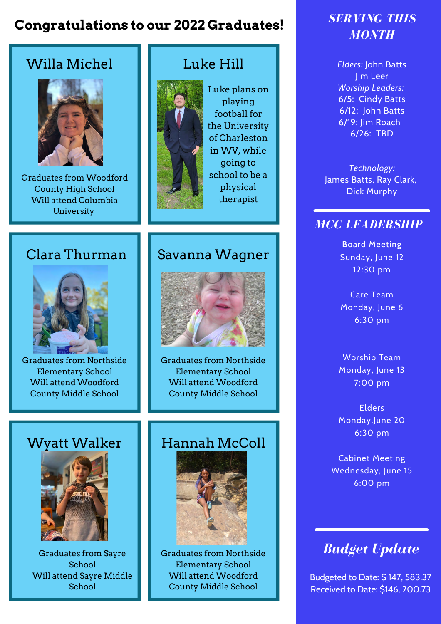# **Congratulations to our 2022 Graduates!** *SERVING THIS*

# Willa Michel **Luke Hill**



Graduates from Woodford County High School Will attend Columbia University



Luke plans on playing football for the University of Charleston in WV, while going to school to be a physical therapist

# Clara Thurman | Savanna Wagner



Graduates from Northside Elementary School Will attend Woodford County Middle School



Graduates from Northside Elementary School Will attend Woodford County Middle School



Graduates from Sayre **School** Will attend Sayre Middle School

# Wyatt Walker | Hannah McColl



Graduates from Northside Elementary School Will attend Woodford County Middle School

# *MONTH*

*Elders:* John Batts Jim Leer *Worship Leaders:* 6/5: Cindy Batts 6/12: John Batts 6/19: Jim Roach 6/26: TBD

*Technology:* James Batts, Ray Clark, Dick Murphy

## *MCC LEADERSHIP*

Board Meeting Sunday, June 12 12:30 pm

Care Team Monday, June 6 6:30 pm

Worship Team Monday, June 13 7:00 pm

Elders Monday,June 20 6:30 pm

Cabinet Meeting Wednesday, June 15 6:00 pm

# *Budget Update*

Budgeted to Date: \$ 147, 583.37 Received to Date: \$146, 200.73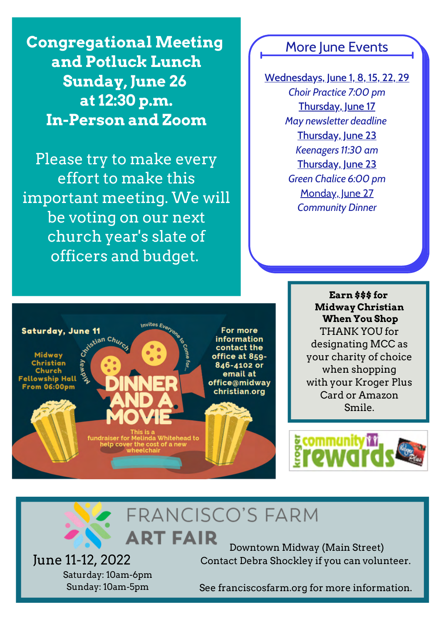**Congregational Meeting More June Events and Potluck Lunch Sunday, June 26 at 12:30 p.m. In-Person and Zoom**

Please try to make every effort to make this important meeting. We will be voting on our next church year's slate of officers and budget.

Wednesdays, June 1, 8, 15, 22, 29 *Choir Practice 7:00 pm* Thursday, June 17 *May newsletter deadline* Thursday, June 23 *Keenagers 11:30 am* Thursday, June 23 *Green Chalice 6:00 pm* Monday, June 27 *Community Dinner*



**Earn \$\$\$ for Midway Christian When You Shop** THANK YOU for designating MCC as your charity of choice when shopping with your Kroger Plus Card or Amazon Smile.



# **FRANCISCO'S FARM ART FAIR**

June 11-12, 2022 Saturday: 10am-6pm Sunday: 10am-5pm

Downtown Midway (Main Street) Contact Debra Shockley if you can volunteer.

See franciscosfarm.org for more information.